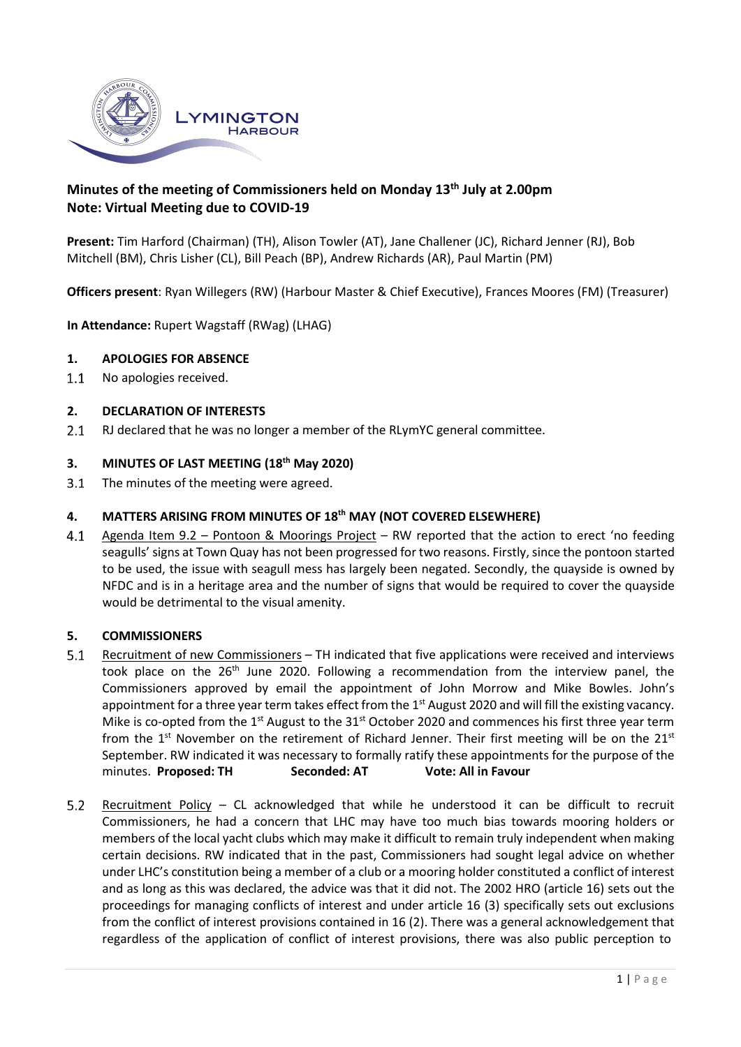

# **Minutes of the meeting of Commissioners held on Monday 13th July at 2.00pm Note: Virtual Meeting due to COVID-19**

**Present:** Tim Harford (Chairman) (TH), Alison Towler (AT), Jane Challener (JC), Richard Jenner (RJ), Bob Mitchell (BM), Chris Lisher (CL), Bill Peach (BP), Andrew Richards (AR), Paul Martin (PM)

**Officers present**: Ryan Willegers (RW) (Harbour Master & Chief Executive), Frances Moores (FM) (Treasurer)

**In Attendance:** Rupert Wagstaff (RWag) (LHAG)

#### **1. APOLOGIES FOR ABSENCE**

 $1.1$ No apologies received.

## **2. DECLARATION OF INTERESTS**

 $2.1$ RJ declared that he was no longer a member of the RLymYC general committee.

## **3. MINUTES OF LAST MEETING (18th May 2020)**

The minutes of the meeting were agreed.  $3.1$ 

# **4. MATTERS ARISING FROM MINUTES OF 18th MAY (NOT COVERED ELSEWHERE)**

 $4.1$ Agenda Item 9.2 - Pontoon & Moorings Project - RW reported that the action to erect 'no feeding seagulls' signs at Town Quay has not been progressed for two reasons. Firstly, since the pontoon started to be used, the issue with seagull mess has largely been negated. Secondly, the quayside is owned by NFDC and is in a heritage area and the number of signs that would be required to cover the quayside would be detrimental to the visual amenity.

#### **5. COMMISSIONERS**

- $5.1$ Recruitment of new Commissioners – TH indicated that five applications were received and interviews took place on the  $26<sup>th</sup>$  June 2020. Following a recommendation from the interview panel, the Commissioners approved by email the appointment of John Morrow and Mike Bowles. John's appointment for a three year term takes effect from the 1<sup>st</sup> August 2020 and will fill the existing vacancy. Mike is co-opted from the  $1<sup>st</sup>$  August to the  $31<sup>st</sup>$  October 2020 and commences his first three year term from the 1<sup>st</sup> November on the retirement of Richard Jenner. Their first meeting will be on the 21<sup>st</sup> September. RW indicated it was necessary to formally ratify these appointments for the purpose of the minutes. **Proposed: TH Seconded: AT Vote: All in Favour**
- Recruitment Policy CL acknowledged that while he understood it can be difficult to recruit  $5.2$ Commissioners, he had a concern that LHC may have too much bias towards mooring holders or members of the local yacht clubs which may make it difficult to remain truly independent when making certain decisions. RW indicated that in the past, Commissioners had sought legal advice on whether under LHC's constitution being a member of a club or a mooring holder constituted a conflict of interest and as long as this was declared, the advice was that it did not. The 2002 HRO (article 16) sets out the proceedings for managing conflicts of interest and under article 16 (3) specifically sets out exclusions from the conflict of interest provisions contained in 16 (2). There was a general acknowledgement that regardless of the application of conflict of interest provisions, there was also public perception to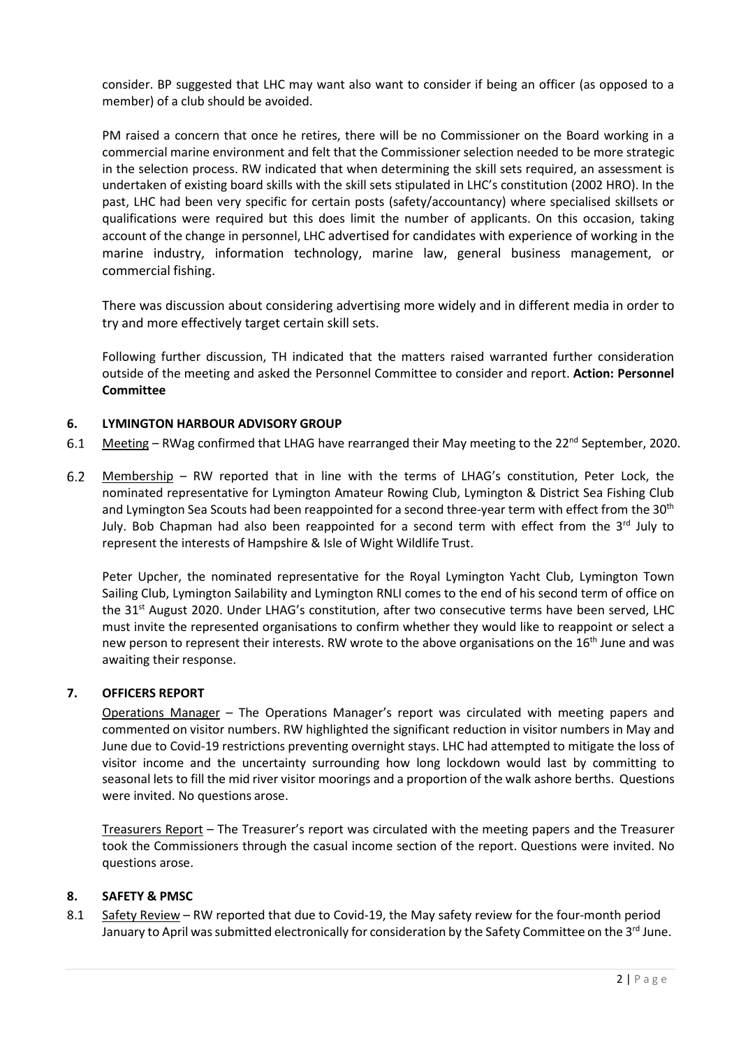consider. BP suggested that LHC may want also want to consider if being an officer (as opposed to a member) of a club should be avoided.

PM raised a concern that once he retires, there will be no Commissioner on the Board working in a commercial marine environment and felt that the Commissioner selection needed to be more strategic in the selection process. RW indicated that when determining the skill sets required, an assessment is undertaken of existing board skills with the skill sets stipulated in LHC's constitution (2002 HRO). In the past, LHC had been very specific for certain posts (safety/accountancy) where specialised skillsets or qualifications were required but this does limit the number of applicants. On this occasion, taking account of the change in personnel, LHC advertised for candidates with experience of working in the marine industry, information technology, marine law, general business management, or commercial fishing.

There was discussion about considering advertising more widely and in different media in order to try and more effectively target certain skill sets.

Following further discussion, TH indicated that the matters raised warranted further consideration outside of the meeting and asked the Personnel Committee to consider and report. **Action: Personnel Committee**

## **6. LYMINGTON HARBOUR ADVISORY GROUP**

- Meeting RWag confirmed that LHAG have rearranged their May meeting to the  $22^{nd}$  September, 2020.  $6.1$
- $6.2$ Membership – RW reported that in line with the terms of LHAG's constitution, Peter Lock, the nominated representative for Lymington Amateur Rowing Club, Lymington & District Sea Fishing Club and Lymington Sea Scouts had been reappointed for a second three-year term with effect from the 30<sup>th</sup> July. Bob Chapman had also been reappointed for a second term with effect from the  $3<sup>rd</sup>$  July to represent the interests of Hampshire & Isle of Wight Wildlife Trust.

Peter Upcher, the nominated representative for the Royal Lymington Yacht Club, Lymington Town Sailing Club, Lymington Sailability and Lymington RNLI comes to the end of his second term of office on the 31<sup>st</sup> August 2020. Under LHAG's constitution, after two consecutive terms have been served, LHC must invite the represented organisations to confirm whether they would like to reappoint or select a new person to represent their interests. RW wrote to the above organisations on the 16<sup>th</sup> June and was awaiting their response.

#### **7. OFFICERS REPORT**

Operations Manager – The Operations Manager's report was circulated with meeting papers and commented on visitor numbers. RW highlighted the significant reduction in visitor numbers in May and June due to Covid-19 restrictions preventing overnight stays. LHC had attempted to mitigate the loss of visitor income and the uncertainty surrounding how long lockdown would last by committing to seasonal lets to fill the mid river visitor moorings and a proportion of the walk ashore berths. Questions were invited. No questions arose.

Treasurers Report – The Treasurer's report was circulated with the meeting papers and the Treasurer took the Commissioners through the casual income section of the report. Questions were invited. No questions arose.

#### **8. SAFETY & PMSC**

8.1 Safety Review – RW reported that due to Covid-19, the May safety review for the four-month period January to April was submitted electronically for consideration by the Safety Committee on the 3<sup>rd</sup> June.